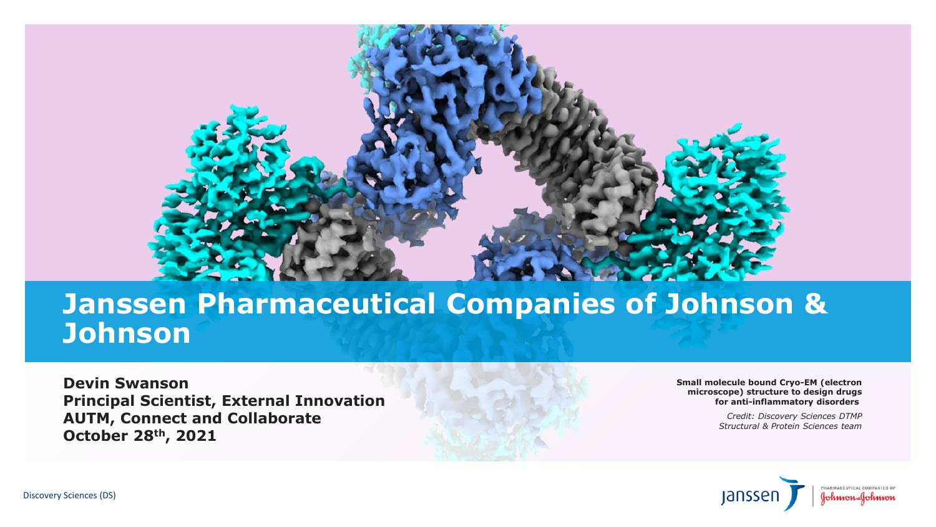

**Small molecule bound Cryo-EM (electron microscope) structure to design drugs for anti-inflammatory disorders**

> *Credit: Discovery Sciences DTMP Structural & Protein Sciences team*



#### **Janssen Pharmaceutical Companies of Johnson & Johnson**

**Devin Swanson Principal Scientist, External Innovation AUTM, Connect and Collaborate October 28th, 2021**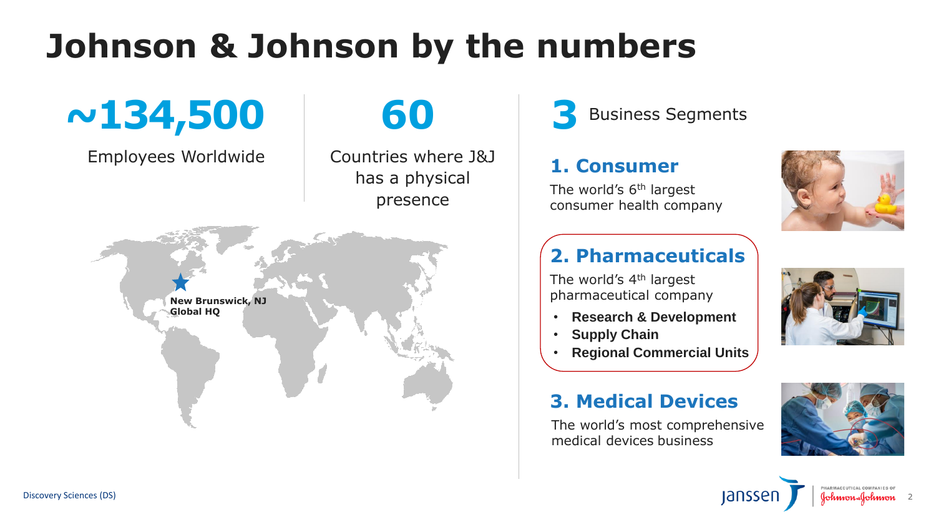









# **Johnson & Johnson by the numbers**



Employees Worldwide

# **60**

Countries where J&J has a physical presence

The world's 6<sup>th</sup> largest consumer health company

**3** Business Segments

#### **3. Medical Devices**

The world's most comprehensive medical devices business

#### **1. Consumer**

#### **2. Pharmaceuticals**

The world's 4<sup>th</sup> largest



2

- **Research & Development**
- **Supply Chain**
- **Regional Commercial Units**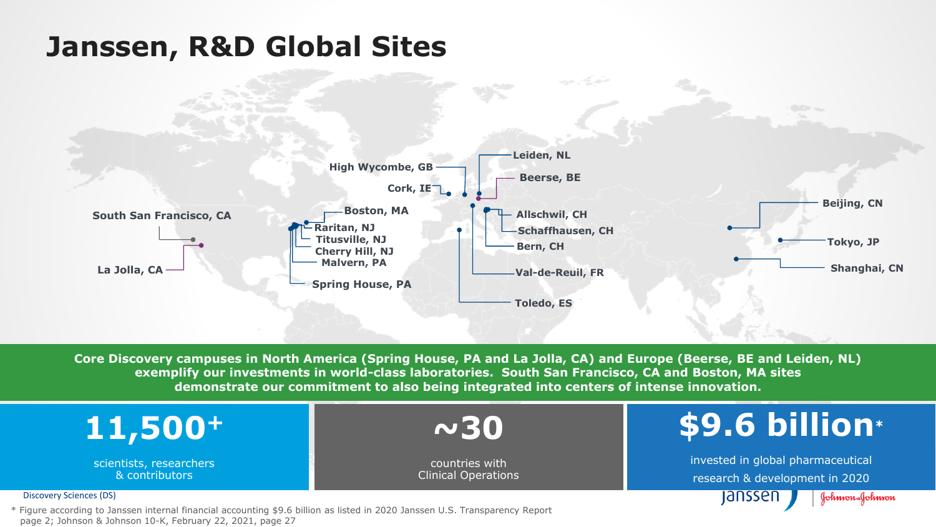Discovery Sciences (DS)







### **Across all industries \$9.6 billion\***

invested in global pharmaceutical research & development in 2020 lanssen Johnson-Johnson

**Core Discovery campuses in North America (Spring House, PA and La Jolla, CA) and Europe (Beerse, BE and Leiden, NL) exemplify our investments in world-class laboratories. South San Francisco, CA and Boston, MA sites demonstrate our commitment to also being integrated into centers of intense innovation.**

ar Ear

\* Figure according to Janssen internal financial accounting \$9.6 billion as listed in 2020 Janssen U.S. Transparency Report page 2; Johnson & Johnson 10-K, February 22, 2021, page 27

### **Janssen, R&D Global Sites**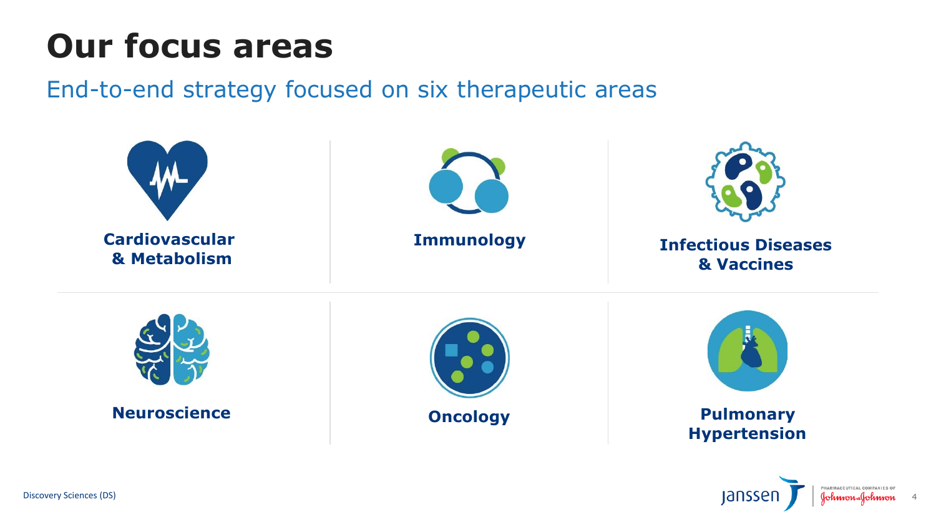

# **Our focus areas**

End-to-end strategy focused on six therapeutic areas

### **Hypertension**



4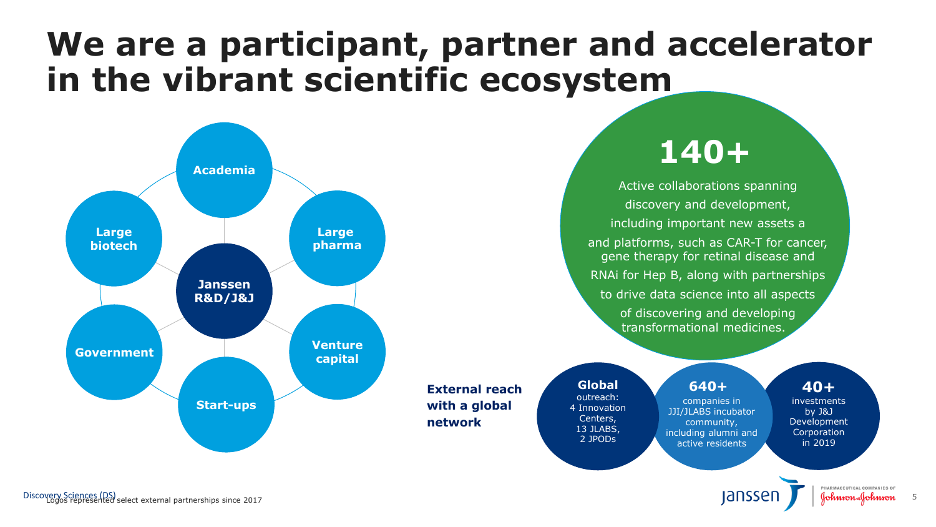#### **40+**

investments by J&J Development Corporation in 2019



# **We are a participant, partner and accelerator in the vibrant scientific ecosystem**

**140+**



Active collaborations spanning discovery and development, including important new assets a and platforms, such as CAR-T for cancer, gene therapy for retinal disease and RNAi for Hep B, along with partnerships to drive data science into all aspects of discovering and developing transformational medicines.

#### **640+**

companies in JJI/JLABS incubator community, including alumni and active residents

**Global** outreach: 4 Innovation Centers, 13 JLABS, 2 JPODs